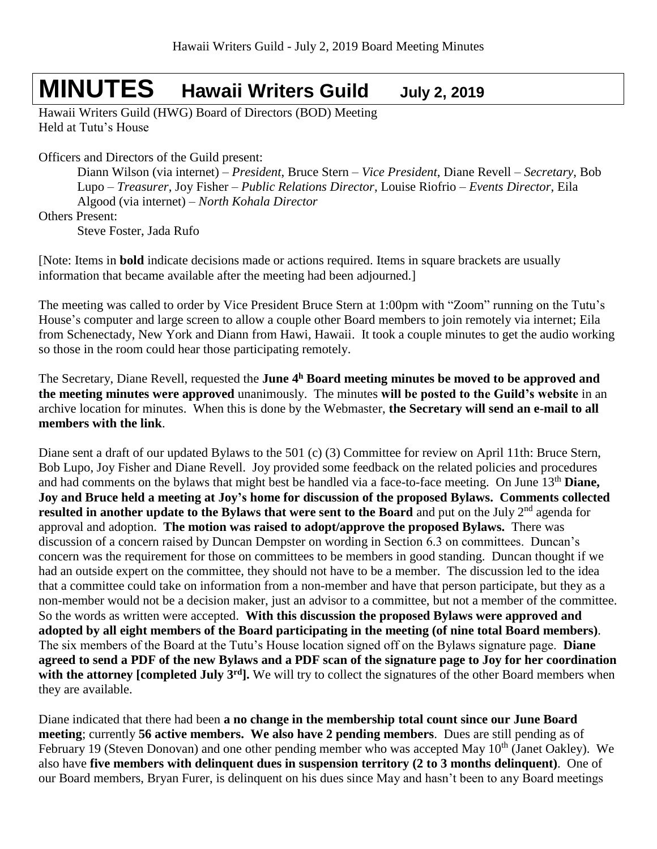# **MINUTES Hawaii Writers Guild July 2, <sup>2019</sup>**

Hawaii Writers Guild (HWG) Board of Directors (BOD) Meeting Held at Tutu's House

Officers and Directors of the Guild present:

Diann Wilson (via internet) – *President*, Bruce Stern – *Vice President*, Diane Revell – *Secretary*, Bob Lupo – *Treasurer*, Joy Fisher – *Public Relations Director*, Louise Riofrio – *Events Director*, Eila Algood (via internet) – *North Kohala Director*

Others Present:

Steve Foster, Jada Rufo

[Note: Items in **bold** indicate decisions made or actions required. Items in square brackets are usually information that became available after the meeting had been adjourned.]

The meeting was called to order by Vice President Bruce Stern at 1:00pm with "Zoom" running on the Tutu's House's computer and large screen to allow a couple other Board members to join remotely via internet; Eila from Schenectady, New York and Diann from Hawi, Hawaii. It took a couple minutes to get the audio working so those in the room could hear those participating remotely.

The Secretary, Diane Revell, requested the **June 4 <sup>h</sup> Board meeting minutes be moved to be approved and the meeting minutes were approved** unanimously. The minutes **will be posted to the Guild's website** in an archive location for minutes. When this is done by the Webmaster, **the Secretary will send an e-mail to all members with the link**.

Diane sent a draft of our updated Bylaws to the 501 (c) (3) Committee for review on April 11th: Bruce Stern, Bob Lupo, Joy Fisher and Diane Revell. Joy provided some feedback on the related policies and procedures and had comments on the bylaws that might best be handled via a face-to-face meeting. On June 13th **Diane, Joy and Bruce held a meeting at Joy's home for discussion of the proposed Bylaws. Comments collected resulted in another update to the Bylaws that were sent to the Board** and put on the July 2<sup>nd</sup> agenda for approval and adoption. **The motion was raised to adopt/approve the proposed Bylaws.** There was discussion of a concern raised by Duncan Dempster on wording in Section 6.3 on committees. Duncan's concern was the requirement for those on committees to be members in good standing. Duncan thought if we had an outside expert on the committee, they should not have to be a member. The discussion led to the idea that a committee could take on information from a non-member and have that person participate, but they as a non-member would not be a decision maker, just an advisor to a committee, but not a member of the committee. So the words as written were accepted. **With this discussion the proposed Bylaws were approved and adopted by all eight members of the Board participating in the meeting (of nine total Board members)**. The six members of the Board at the Tutu's House location signed off on the Bylaws signature page. **Diane agreed to send a PDF of the new Bylaws and a PDF scan of the signature page to Joy for her coordination**  with the attorney **[completed July 3<sup>rd</sup>].** We will try to collect the signatures of the other Board members when they are available.

Diane indicated that there had been **a no change in the membership total count since our June Board meeting**; currently **56 active members. We also have 2 pending members**. Dues are still pending as of February 19 (Steven Donovan) and one other pending member who was accepted May 10<sup>th</sup> (Janet Oakley). We also have **five members with delinquent dues in suspension territory (2 to 3 months delinquent)**. One of our Board members, Bryan Furer, is delinquent on his dues since May and hasn't been to any Board meetings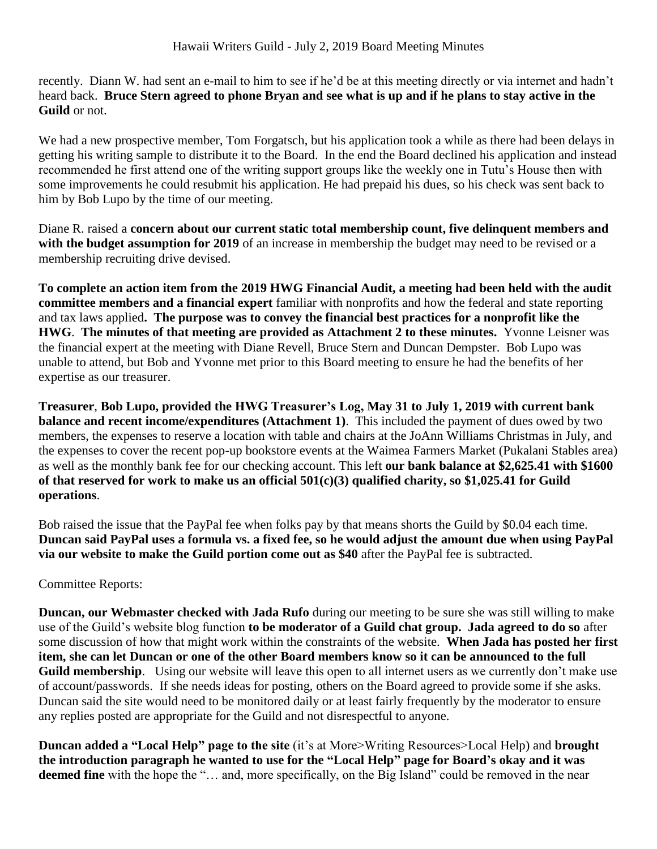recently. Diann W. had sent an e-mail to him to see if he'd be at this meeting directly or via internet and hadn't heard back. **Bruce Stern agreed to phone Bryan and see what is up and if he plans to stay active in the Guild** or not.

We had a new prospective member, Tom Forgatsch, but his application took a while as there had been delays in getting his writing sample to distribute it to the Board. In the end the Board declined his application and instead recommended he first attend one of the writing support groups like the weekly one in Tutu's House then with some improvements he could resubmit his application. He had prepaid his dues, so his check was sent back to him by Bob Lupo by the time of our meeting.

Diane R. raised a **concern about our current static total membership count, five delinquent members and**  with the budget assumption for 2019 of an increase in membership the budget may need to be revised or a membership recruiting drive devised.

**To complete an action item from the 2019 HWG Financial Audit, a meeting had been held with the audit committee members and a financial expert** familiar with nonprofits and how the federal and state reporting and tax laws applied**. The purpose was to convey the financial best practices for a nonprofit like the HWG**. **The minutes of that meeting are provided as Attachment 2 to these minutes.** Yvonne Leisner was the financial expert at the meeting with Diane Revell, Bruce Stern and Duncan Dempster. Bob Lupo was unable to attend, but Bob and Yvonne met prior to this Board meeting to ensure he had the benefits of her expertise as our treasurer.

**Treasurer**, **Bob Lupo, provided the HWG Treasurer's Log, May 31 to July 1, 2019 with current bank balance and recent income/expenditures (Attachment 1)**. This included the payment of dues owed by two members, the expenses to reserve a location with table and chairs at the JoAnn Williams Christmas in July, and the expenses to cover the recent pop-up bookstore events at the Waimea Farmers Market (Pukalani Stables area) as well as the monthly bank fee for our checking account. This left **our bank balance at \$2,625.41 with \$1600 of that reserved for work to make us an official 501(c)(3) qualified charity, so \$1,025.41 for Guild operations**.

Bob raised the issue that the PayPal fee when folks pay by that means shorts the Guild by \$0.04 each time. **Duncan said PayPal uses a formula vs. a fixed fee, so he would adjust the amount due when using PayPal via our website to make the Guild portion come out as \$40** after the PayPal fee is subtracted.

## Committee Reports:

**Duncan, our Webmaster checked with Jada Rufo** during our meeting to be sure she was still willing to make use of the Guild's website blog function **to be moderator of a Guild chat group. Jada agreed to do so** after some discussion of how that might work within the constraints of the website. **When Jada has posted her first item, she can let Duncan or one of the other Board members know so it can be announced to the full Guild membership**. Using our website will leave this open to all internet users as we currently don't make use of account/passwords. If she needs ideas for posting, others on the Board agreed to provide some if she asks. Duncan said the site would need to be monitored daily or at least fairly frequently by the moderator to ensure any replies posted are appropriate for the Guild and not disrespectful to anyone.

**Duncan added a "Local Help" page to the site** (it's at More>Writing Resources>Local Help) and **brought the introduction paragraph he wanted to use for the "Local Help" page for Board's okay and it was**  deemed fine with the hope the "... and, more specifically, on the Big Island" could be removed in the near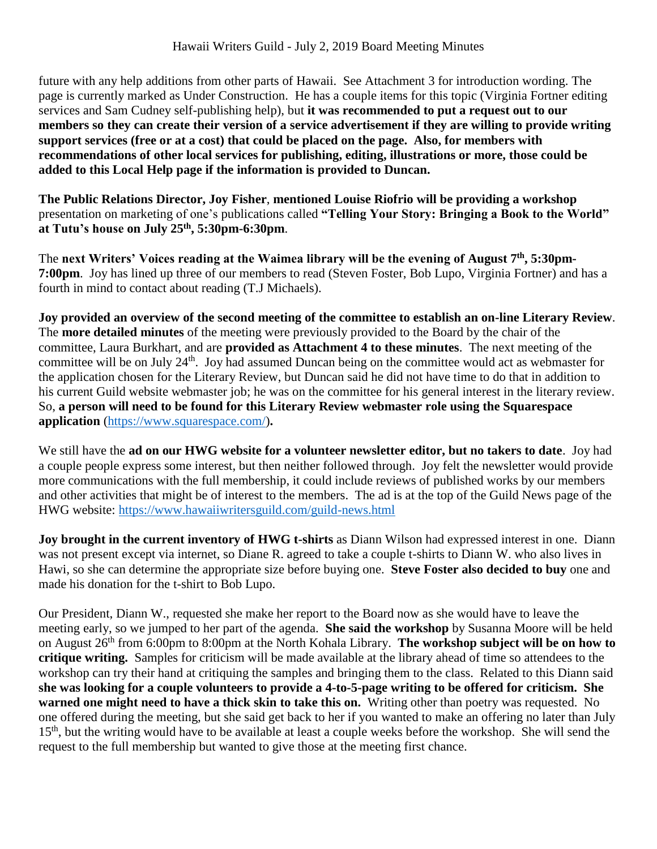future with any help additions from other parts of Hawaii. See Attachment 3 for introduction wording. The page is currently marked as Under Construction. He has a couple items for this topic (Virginia Fortner editing services and Sam Cudney self-publishing help), but **it was recommended to put a request out to our members so they can create their version of a service advertisement if they are willing to provide writing support services (free or at a cost) that could be placed on the page. Also, for members with recommendations of other local services for publishing, editing, illustrations or more, those could be added to this Local Help page if the information is provided to Duncan.**

**The Public Relations Director, Joy Fisher**, **mentioned Louise Riofrio will be providing a workshop** presentation on marketing of one's publications called **"Telling Your Story: Bringing a Book to the World" at Tutu's house on July 25th, 5:30pm-6:30pm**.

The **next Writers' Voices reading at the Waimea library will be the evening of August 7 th, 5:30pm-7:00pm**. Joy has lined up three of our members to read (Steven Foster, Bob Lupo, Virginia Fortner) and has a fourth in mind to contact about reading (T.J Michaels).

**Joy provided an overview of the second meeting of the committee to establish an on-line Literary Review**. The **more detailed minutes** of the meeting were previously provided to the Board by the chair of the committee, Laura Burkhart, and are **provided as Attachment 4 to these minutes**. The next meeting of the committee will be on July 24<sup>th</sup>. Joy had assumed Duncan being on the committee would act as webmaster for the application chosen for the Literary Review, but Duncan said he did not have time to do that in addition to his current Guild website webmaster job; he was on the committee for his general interest in the literary review. So, **a person will need to be found for this Literary Review webmaster role using the Squarespace application** [\(https://www.squarespace.com/\)](https://www.squarespace.com/)**.**

We still have the **ad on our HWG website for a volunteer newsletter editor, but no takers to date**. Joy had a couple people express some interest, but then neither followed through. Joy felt the newsletter would provide more communications with the full membership, it could include reviews of published works by our members and other activities that might be of interest to the members. The ad is at the top of the Guild News page of the HWG website:<https://www.hawaiiwritersguild.com/guild-news.html>

**Joy brought in the current inventory of HWG t-shirts** as Diann Wilson had expressed interest in one. Diann was not present except via internet, so Diane R. agreed to take a couple t-shirts to Diann W. who also lives in Hawi, so she can determine the appropriate size before buying one. **Steve Foster also decided to buy** one and made his donation for the t-shirt to Bob Lupo.

Our President, Diann W., requested she make her report to the Board now as she would have to leave the meeting early, so we jumped to her part of the agenda. **She said the workshop** by Susanna Moore will be held on August 26th from 6:00pm to 8:00pm at the North Kohala Library. **The workshop subject will be on how to critique writing.** Samples for criticism will be made available at the library ahead of time so attendees to the workshop can try their hand at critiquing the samples and bringing them to the class. Related to this Diann said **she was looking for a couple volunteers to provide a 4-to-5-page writing to be offered for criticism. She warned one might need to have a thick skin to take this on.** Writing other than poetry was requested. No one offered during the meeting, but she said get back to her if you wanted to make an offering no later than July 15<sup>th</sup>, but the writing would have to be available at least a couple weeks before the workshop. She will send the request to the full membership but wanted to give those at the meeting first chance.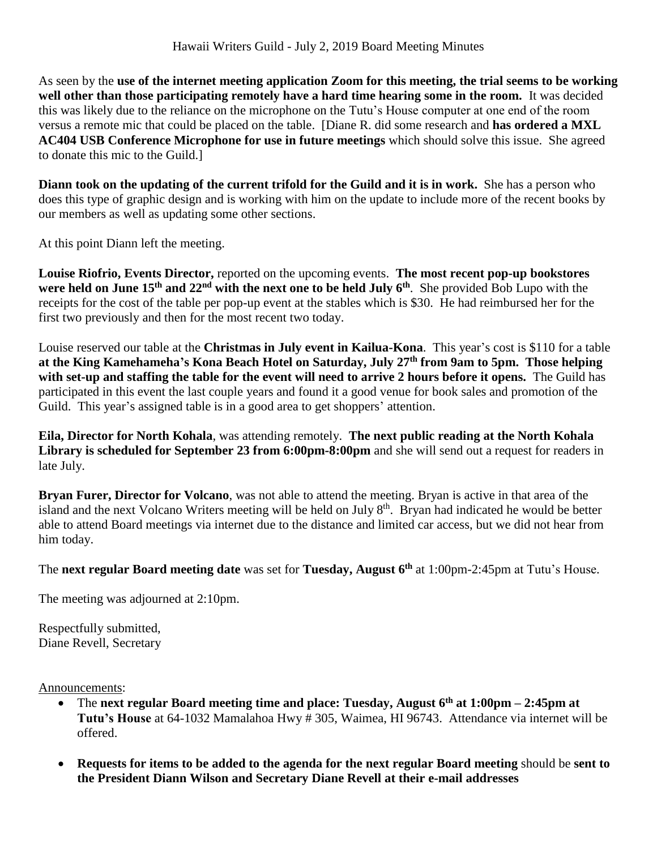As seen by the **use of the internet meeting application Zoom for this meeting, the trial seems to be working well other than those participating remotely have a hard time hearing some in the room.** It was decided this was likely due to the reliance on the microphone on the Tutu's House computer at one end of the room versus a remote mic that could be placed on the table. [Diane R. did some research and **has ordered a MXL AC404 USB Conference Microphone for use in future meetings** which should solve this issue. She agreed to donate this mic to the Guild.]

**Diann took on the updating of the current trifold for the Guild and it is in work.** She has a person who does this type of graphic design and is working with him on the update to include more of the recent books by our members as well as updating some other sections.

At this point Diann left the meeting.

**Louise Riofrio, Events Director,** reported on the upcoming events. **The most recent pop-up bookstores** were held on June 15<sup>th</sup> and 22<sup>nd</sup> with the next one to be held July 6<sup>th</sup>. She provided Bob Lupo with the receipts for the cost of the table per pop-up event at the stables which is \$30. He had reimbursed her for the first two previously and then for the most recent two today.

Louise reserved our table at the **Christmas in July event in Kailua-Kona**. This year's cost is \$110 for a table **at the King Kamehameha's Kona Beach Hotel on Saturday, July 27th from 9am to 5pm. Those helping**  with set-up and staffing the table for the event will need to arrive 2 hours before it opens. The Guild has participated in this event the last couple years and found it a good venue for book sales and promotion of the Guild. This year's assigned table is in a good area to get shoppers' attention.

**Eila, Director for North Kohala**, was attending remotely. **The next public reading at the North Kohala Library is scheduled for September 23 from 6:00pm-8:00pm** and she will send out a request for readers in late July.

**Bryan Furer, Director for Volcano**, was not able to attend the meeting. Bryan is active in that area of the island and the next Volcano Writers meeting will be held on July 8<sup>th</sup>. Bryan had indicated he would be better able to attend Board meetings via internet due to the distance and limited car access, but we did not hear from him today.

The **next regular Board meeting date** was set for **Tuesday, August 6 th** at 1:00pm-2:45pm at Tutu's House.

The meeting was adjourned at 2:10pm.

Respectfully submitted, Diane Revell, Secretary

Announcements:

- The **next regular Board meeting time and place: Tuesday, August 6 th at 1:00pm – 2:45pm at Tutu's House** at 64-1032 Mamalahoa Hwy # 305, Waimea, HI 96743. Attendance via internet will be offered.
- **Requests for items to be added to the agenda for the next regular Board meeting** should be **sent to the President Diann Wilson and Secretary Diane Revell at their e-mail addresses**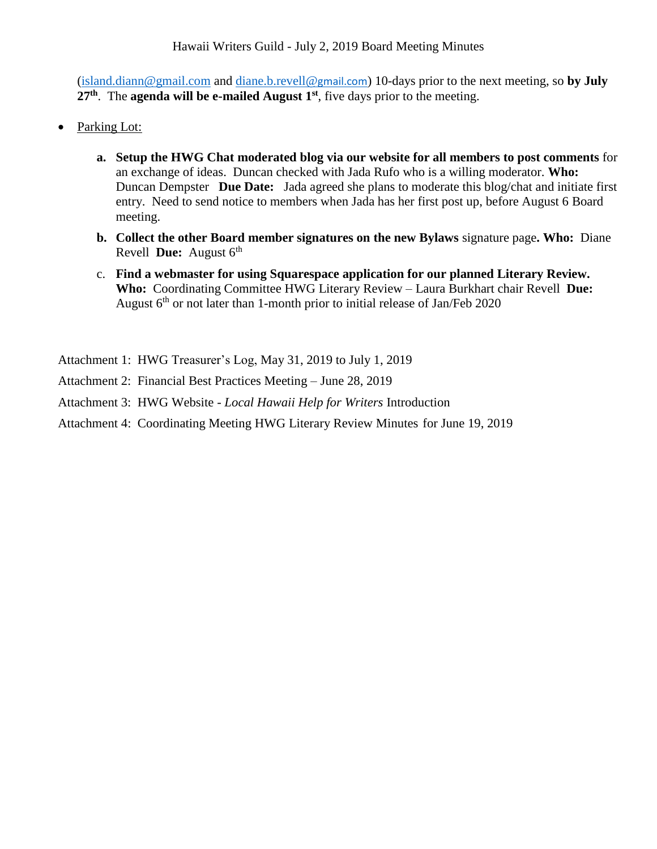[\(island.diann@gmail.com](mailto:island.diann@gmail.com) and [diane.b.revell@](mailto:diane.b.revell@gmail.com)gmail.com) 10-days prior to the next meeting, so **by July** 27<sup>th</sup>. The **agenda will be e-mailed August** 1<sup>st</sup>, five days prior to the meeting.

- Parking Lot:
	- **a. Setup the HWG Chat moderated blog via our website for all members to post comments** for an exchange of ideas. Duncan checked with Jada Rufo who is a willing moderator. **Who:** Duncan Dempster **Due Date:** Jada agreed she plans to moderate this blog/chat and initiate first entry. Need to send notice to members when Jada has her first post up, before August 6 Board meeting.
	- **b. Collect the other Board member signatures on the new Bylaws** signature page**. Who:** Diane Revell **Due:** August 6<sup>th</sup>
	- c. **Find a webmaster for using Squarespace application for our planned Literary Review. Who:** Coordinating Committee HWG Literary Review – Laura Burkhart chair Revell **Due:**  August  $6<sup>th</sup>$  or not later than 1-month prior to initial release of Jan/Feb 2020
- Attachment 1: HWG Treasurer's Log, May 31, 2019 to July 1, 2019
- Attachment 2: Financial Best Practices Meeting June 28, 2019
- Attachment 3: HWG Website *Local Hawaii Help for Writers* Introduction
- Attachment 4: Coordinating Meeting HWG Literary Review Minutes for June 19, 2019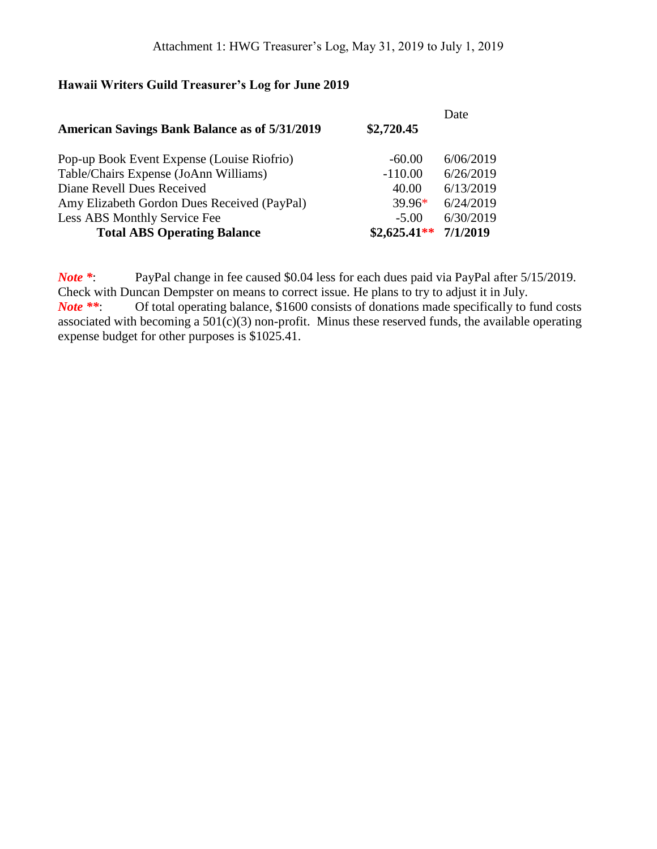# **Hawaii Writers Guild Treasurer's Log for June 2019**

| <b>American Savings Bank Balance as of 5/31/2019</b> | \$2,720.45    | Date      |
|------------------------------------------------------|---------------|-----------|
| Pop-up Book Event Expense (Louise Riofrio)           | $-60.00$      | 6/06/2019 |
| Table/Chairs Expense (JoAnn Williams)                | $-110.00$     | 6/26/2019 |
| Diane Revell Dues Received                           | 40.00         | 6/13/2019 |
| Amy Elizabeth Gordon Dues Received (PayPal)          | $39.96*$      | 6/24/2019 |
| Less ABS Monthly Service Fee                         | $-5.00$       | 6/30/2019 |
| <b>Total ABS Operating Balance</b>                   | $$2,625.41**$ | 7/1/2019  |

*Note \**: PayPal change in fee caused \$0.04 less for each dues paid via PayPal after 5/15/2019. Check with Duncan Dempster on means to correct issue. He plans to try to adjust it in July. *Note* \*\*: Of total operating balance, \$1600 consists of donations made specifically to fund costs associated with becoming a  $501(c)(3)$  non-profit. Minus these reserved funds, the available operating expense budget for other purposes is \$1025.41.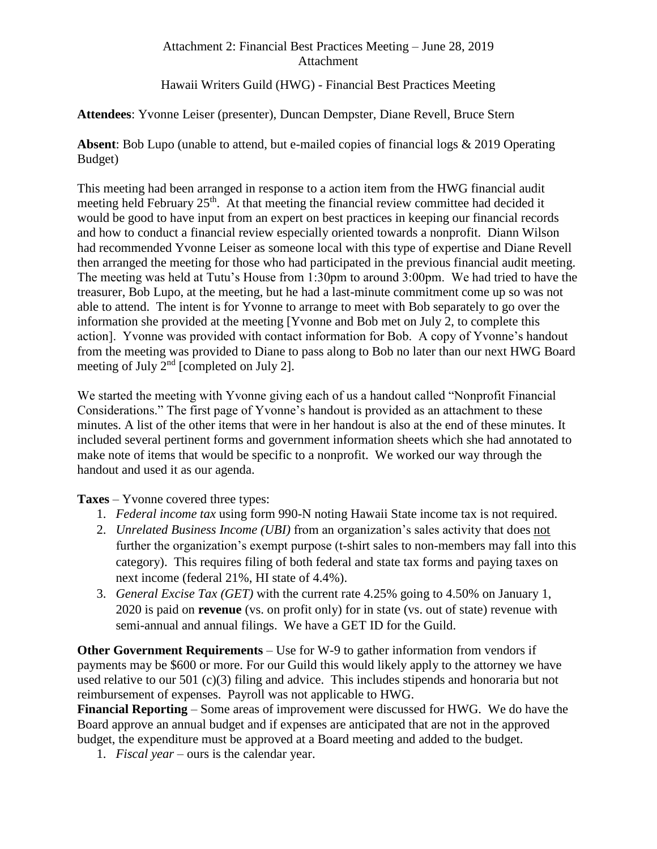#### Attachment 2: Financial Best Practices Meeting – June 28, 2019 Attachment

Hawaii Writers Guild (HWG) - Financial Best Practices Meeting

## **Attendees**: Yvonne Leiser (presenter), Duncan Dempster, Diane Revell, Bruce Stern

**Absent**: Bob Lupo (unable to attend, but e-mailed copies of financial logs & 2019 Operating Budget)

This meeting had been arranged in response to a action item from the HWG financial audit meeting held February 25<sup>th</sup>. At that meeting the financial review committee had decided it would be good to have input from an expert on best practices in keeping our financial records and how to conduct a financial review especially oriented towards a nonprofit. Diann Wilson had recommended Yvonne Leiser as someone local with this type of expertise and Diane Revell then arranged the meeting for those who had participated in the previous financial audit meeting. The meeting was held at Tutu's House from 1:30pm to around 3:00pm. We had tried to have the treasurer, Bob Lupo, at the meeting, but he had a last-minute commitment come up so was not able to attend. The intent is for Yvonne to arrange to meet with Bob separately to go over the information she provided at the meeting [Yvonne and Bob met on July 2, to complete this action]. Yvonne was provided with contact information for Bob. A copy of Yvonne's handout from the meeting was provided to Diane to pass along to Bob no later than our next HWG Board meeting of July  $2<sup>nd</sup>$  [completed on July 2].

We started the meeting with Yvonne giving each of us a handout called "Nonprofit Financial" Considerations." The first page of Yvonne's handout is provided as an attachment to these minutes. A list of the other items that were in her handout is also at the end of these minutes. It included several pertinent forms and government information sheets which she had annotated to make note of items that would be specific to a nonprofit. We worked our way through the handout and used it as our agenda.

**Taxes** – Yvonne covered three types:

- 1. *Federal income tax* using form 990-N noting Hawaii State income tax is not required.
- 2. *Unrelated Business Income (UBI)* from an organization's sales activity that does not further the organization's exempt purpose (t-shirt sales to non-members may fall into this category). This requires filing of both federal and state tax forms and paying taxes on next income (federal 21%, HI state of 4.4%).
- 3. *General Excise Tax (GET)* with the current rate 4.25% going to 4.50% on January 1, 2020 is paid on **revenue** (vs. on profit only) for in state (vs. out of state) revenue with semi-annual and annual filings. We have a GET ID for the Guild.

**Other Government Requirements** – Use for W-9 to gather information from vendors if payments may be \$600 or more. For our Guild this would likely apply to the attorney we have used relative to our 501 (c)(3) filing and advice. This includes stipends and honoraria but not reimbursement of expenses. Payroll was not applicable to HWG.

**Financial Reporting** – Some areas of improvement were discussed for HWG. We do have the Board approve an annual budget and if expenses are anticipated that are not in the approved budget, the expenditure must be approved at a Board meeting and added to the budget.

1. *Fiscal year* – ours is the calendar year.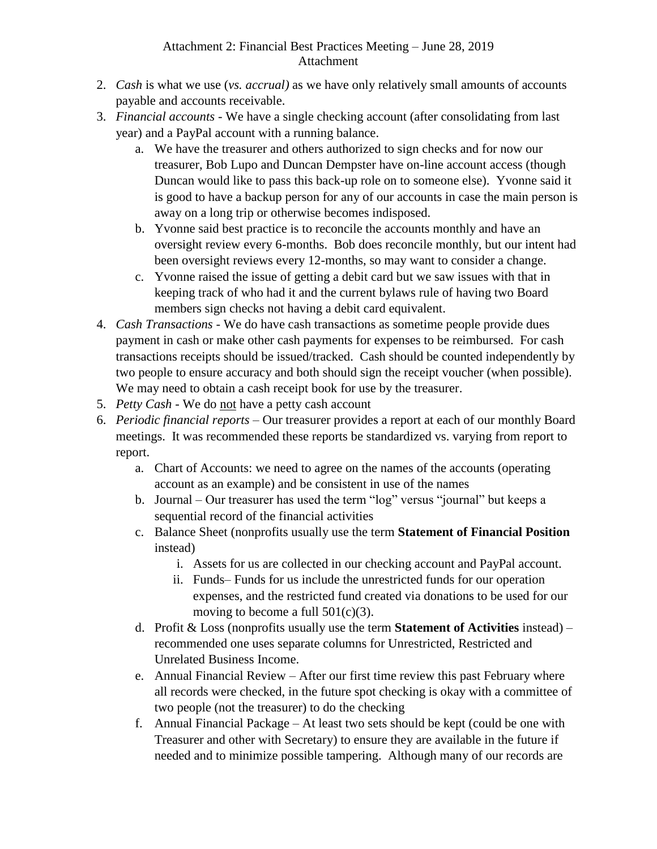#### Attachment 2: Financial Best Practices Meeting – June 28, 2019 Attachment

- 2. *Cash* is what we use (*vs. accrual)* as we have only relatively small amounts of accounts payable and accounts receivable.
- 3. *Financial accounts* We have a single checking account (after consolidating from last year) and a PayPal account with a running balance.
	- a. We have the treasurer and others authorized to sign checks and for now our treasurer, Bob Lupo and Duncan Dempster have on-line account access (though Duncan would like to pass this back-up role on to someone else). Yvonne said it is good to have a backup person for any of our accounts in case the main person is away on a long trip or otherwise becomes indisposed.
	- b. Yvonne said best practice is to reconcile the accounts monthly and have an oversight review every 6-months. Bob does reconcile monthly, but our intent had been oversight reviews every 12-months, so may want to consider a change.
	- c. Yvonne raised the issue of getting a debit card but we saw issues with that in keeping track of who had it and the current bylaws rule of having two Board members sign checks not having a debit card equivalent.
- 4. *Cash Transactions* We do have cash transactions as sometime people provide dues payment in cash or make other cash payments for expenses to be reimbursed. For cash transactions receipts should be issued/tracked. Cash should be counted independently by two people to ensure accuracy and both should sign the receipt voucher (when possible). We may need to obtain a cash receipt book for use by the treasurer.
- 5. *Petty Cash* We do not have a petty cash account
- 6. *Periodic financial reports* Our treasurer provides a report at each of our monthly Board meetings. It was recommended these reports be standardized vs. varying from report to report.
	- a. Chart of Accounts: we need to agree on the names of the accounts (operating account as an example) and be consistent in use of the names
	- b. Journal Our treasurer has used the term "log" versus "journal" but keeps a sequential record of the financial activities
	- c. Balance Sheet (nonprofits usually use the term **Statement of Financial Position** instead)
		- i. Assets for us are collected in our checking account and PayPal account.
		- ii. Funds– Funds for us include the unrestricted funds for our operation expenses, and the restricted fund created via donations to be used for our moving to become a full  $501(c)(3)$ .
	- d. Profit & Loss (nonprofits usually use the term **Statement of Activities** instead) recommended one uses separate columns for Unrestricted, Restricted and Unrelated Business Income.
	- e. Annual Financial Review After our first time review this past February where all records were checked, in the future spot checking is okay with a committee of two people (not the treasurer) to do the checking
	- f. Annual Financial Package At least two sets should be kept (could be one with Treasurer and other with Secretary) to ensure they are available in the future if needed and to minimize possible tampering. Although many of our records are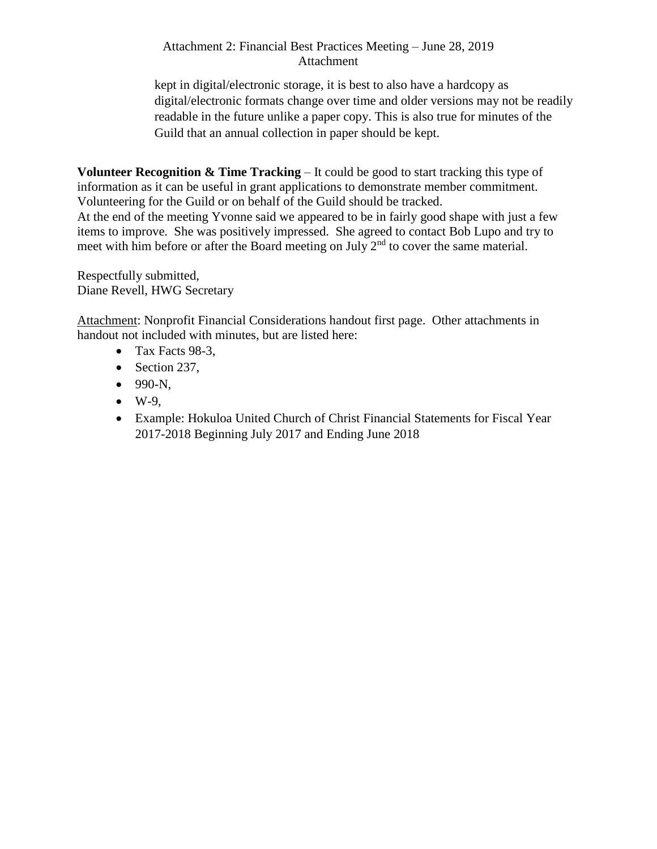#### Attachment 2: Financial Best Practices Meeting – June 28, 2019 Attachment

kept in digital/electronic storage, it is best to also have a hardcopy as digital/electronic formats change over time and older versions may not be readily readable in the future unlike a paper copy. This is also true for minutes of the Guild that an annual collection in paper should be kept.

**Volunteer Recognition & Time Tracking** – It could be good to start tracking this type of information as it can be useful in grant applications to demonstrate member commitment. Volunteering for the Guild or on behalf of the Guild should be tracked.

At the end of the meeting Yvonne said we appeared to be in fairly good shape with just a few items to improve. She was positively impressed. She agreed to contact Bob Lupo and try to meet with him before or after the Board meeting on July 2<sup>nd</sup> to cover the same material.

Respectfully submitted, Diane Revell, HWG Secretary

Attachment: Nonprofit Financial Considerations handout first page. Other attachments in handout not included with minutes, but are listed here:

- Tax Facts 98-3,
- Section 237,
- 990-N,
- $\bullet$  W-9,
- Example: Hokuloa United Church of Christ Financial Statements for Fiscal Year 2017-2018 Beginning July 2017 and Ending June 2018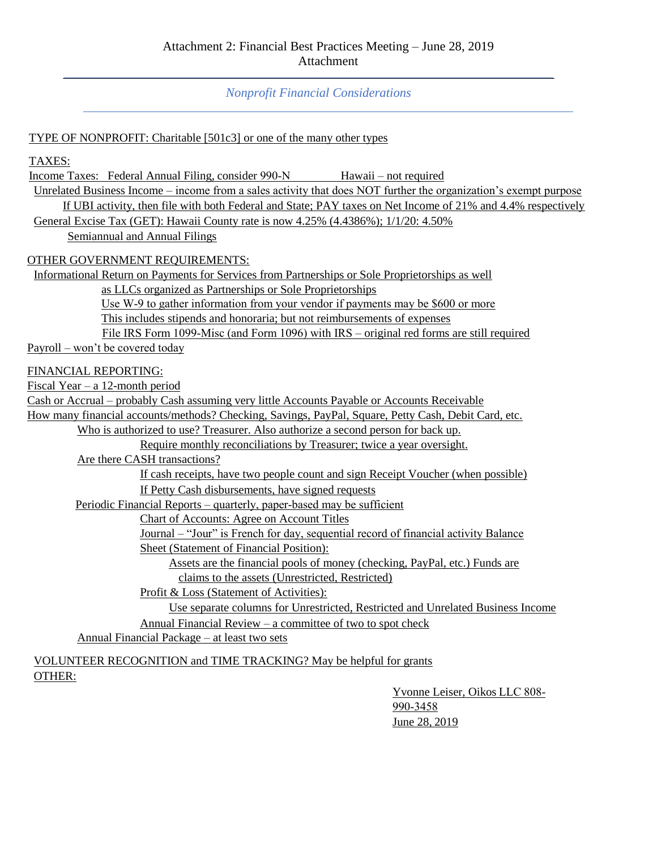*Nonprofit Financial Considerations*

#### TYPE OF NONPROFIT: Charitable [501c3] or one of the many other types

TAXES:

Income Taxes: Federal Annual Filing, consider 990-N Hawaii – not required

Unrelated Business Income – income from a sales activity that does NOT further the organization's exempt purpose

If UBI activity, then file with both Federal and State; PAY taxes on Net Income of 21% and 4.4% respectively General Excise Tax (GET): Hawaii County rate is now 4.25% (4.4386%); 1/1/20: 4.50%

Semiannual and Annual Filings

OTHER GOVERNMENT REQUIREMENTS:

Informational Return on Payments for Services from Partnerships or Sole Proprietorships as well

as LLCs organized as Partnerships or Sole Proprietorships

Use W-9 to gather information from your vendor if payments may be \$600 or more

This includes stipends and honoraria; but not reimbursements of expenses

File IRS Form 1099-Misc (and Form 1096) with IRS – original red forms are still required

Payroll – won't be covered today

#### FINANCIAL REPORTING:

Fiscal Year – a 12-month period

Cash or Accrual – probably Cash assuming very little Accounts Payable or Accounts Receivable

How many financial accounts/methods? Checking, Savings, PayPal, Square, Petty Cash, Debit Card, etc.

Who is authorized to use? Treasurer. Also authorize a second person for back up.

Require monthly reconciliations by Treasurer; twice a year oversight.

Are there CASH transactions?

If cash receipts, have two people count and sign Receipt Voucher (when possible) If Petty Cash disbursements, have signed requests

Periodic Financial Reports – quarterly, paper‐based may be sufficient

Chart of Accounts: Agree on Account Titles

Journal – "Jour" is French for day, sequential record of financial activity Balance

Sheet (Statement of Financial Position):

Assets are the financial pools of money (checking, PayPal, etc.) Funds are claims to the assets (Unrestricted, Restricted)

Profit & Loss (Statement of Activities):

Use separate columns for Unrestricted, Restricted and Unrelated Business Income Annual Financial Review – a committee of two to spot check

Annual Financial Package – at least two sets

VOLUNTEER RECOGNITION and TIME TRACKING? May be helpful for grants OTHER:

> Yvonne Leiser, Oikos LLC 808‐ 990‐3458 June 28, 2019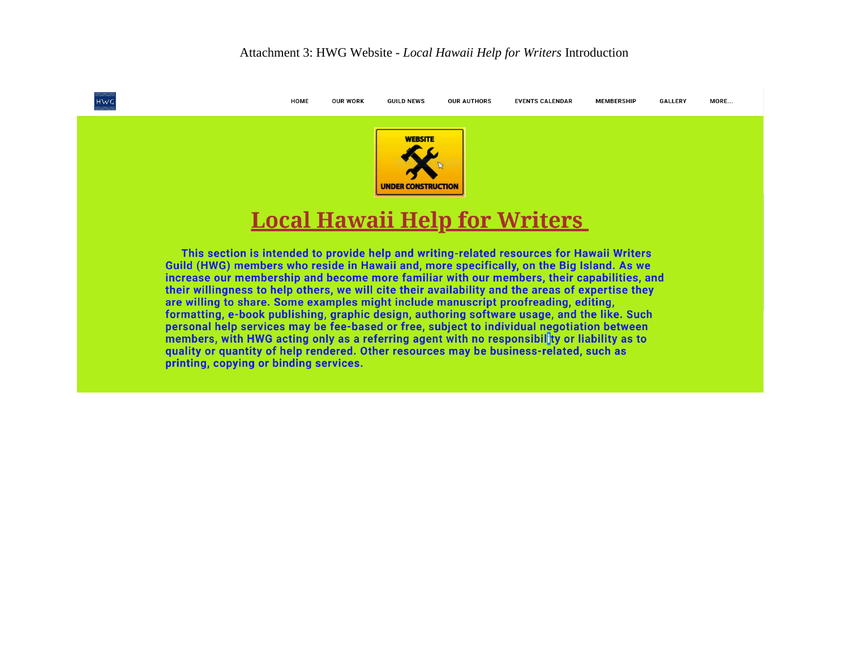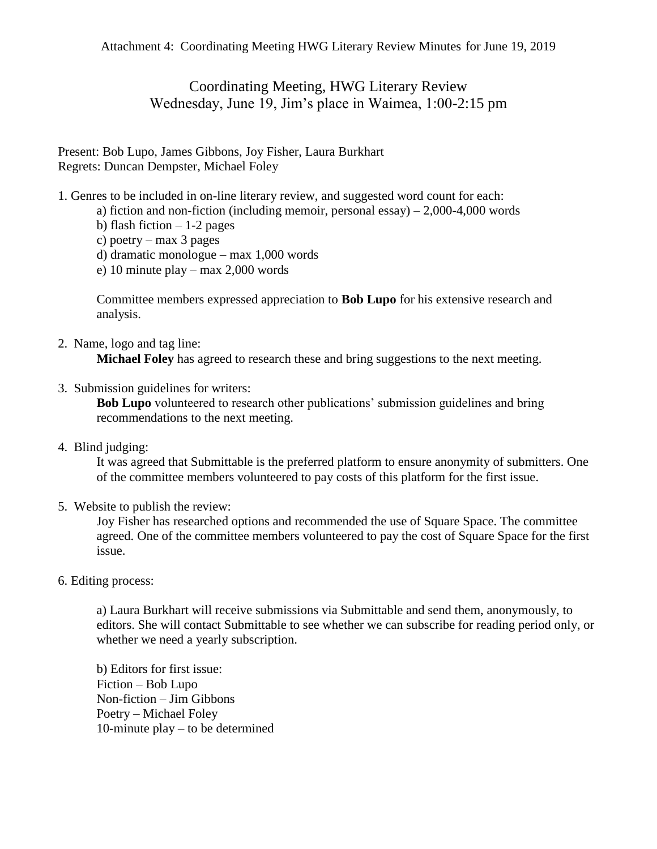Coordinating Meeting, HWG Literary Review Wednesday, June 19, Jim's place in Waimea, 1:00-2:15 pm

Present: Bob Lupo, James Gibbons, Joy Fisher, Laura Burkhart Regrets: Duncan Dempster, Michael Foley

- 1. Genres to be included in on-line literary review, and suggested word count for each:
	- a) fiction and non-fiction (including memoir, personal essay)  $-2,000-4,000$  words
	- b) flash fiction  $-1-2$  pages
	- c) poetry max 3 pages
	- d) dramatic monologue max 1,000 words
	- e) 10 minute play max 2,000 words

Committee members expressed appreciation to **Bob Lupo** for his extensive research and analysis.

- 2. Name, logo and tag line: **Michael Foley** has agreed to research these and bring suggestions to the next meeting.
- 3. Submission guidelines for writers:

**Bob Lupo** volunteered to research other publications' submission guidelines and bring recommendations to the next meeting.

4. Blind judging:

It was agreed that Submittable is the preferred platform to ensure anonymity of submitters. One of the committee members volunteered to pay costs of this platform for the first issue.

5. Website to publish the review:

Joy Fisher has researched options and recommended the use of Square Space. The committee agreed. One of the committee members volunteered to pay the cost of Square Space for the first issue.

6. Editing process:

a) Laura Burkhart will receive submissions via Submittable and send them, anonymously, to editors. She will contact Submittable to see whether we can subscribe for reading period only, or whether we need a yearly subscription.

b) Editors for first issue: Fiction – Bob Lupo Non-fiction – Jim Gibbons Poetry – Michael Foley 10-minute play – to be determined